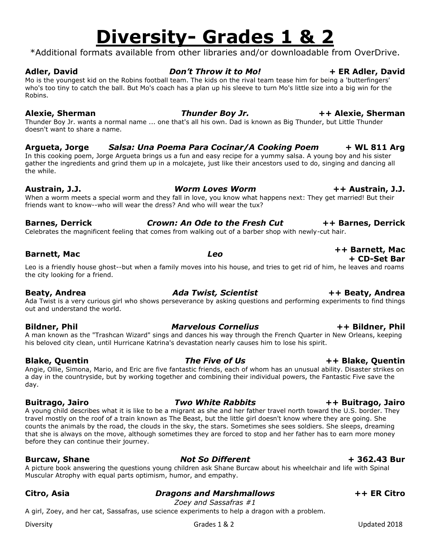### Diversity Channel Communications of Grades 1 & 2 Channel Communications of the Updated 2018

# **Diversity- Grades 1 & 2**

\*Additional formats available from other libraries and/or downloadable from OverDrive.

### **Adler, David** *Don't Throw it to Mo!* **+ ER Adler, David**

Mo is the youngest kid on the Robins football team. The kids on the rival team tease him for being a 'butterfingers' who's too tiny to catch the ball. But Mo's coach has a plan up his sleeve to turn Mo's little size into a big win for the Robins.

### **Alexie, Sherman** *Thunder Boy Jr.* **++ Alexie, Sherman**

Thunder Boy Jr. wants a normal name ... one that's all his own. Dad is known as Big Thunder, but Little Thunder doesn't want to share a name.

## **Argueta, Jorge** *Salsa: Una Poema Para Cocinar/A Cooking Poem* **+ WL 811 Arg**

In this cooking poem, Jorge Argueta brings us a fun and easy recipe for a yummy salsa. A young boy and his sister gather the ingredients and grind them up in a molcajete, just like their ancestors used to do, singing and dancing all the while.

**Austrain, J.J.** *Worm Loves Worm* **++ Austrain, J.J.** When a worm meets a special worm and they fall in love, you know what happens next: They get married! But their friends want to know--who will wear the dress? And who will wear the tux?

## **Barnes, Derrick** *Crown: An Ode to the Fresh Cut* **++ Barnes, Derrick**

Celebrates the magnificent feeling that comes from walking out of a barber shop with newly-cut hair.

## **Barnett, Mac** *Leo* **++ Barnett, Mac**

**+ CD-Set Bar** Leo is a friendly house ghost--but when a family moves into his house, and tries to get rid of him, he leaves and roams the city looking for a friend.

## **Beaty, Andrea** *Ada Twist, Scientist* **++ Beaty, Andrea**

Ada Twist is a very curious girl who shows perseverance by asking questions and performing experiments to find things out and understand the world.

## **Bildner, Phil** *Marvelous Cornelius* **++ Bildner, Phil**

A man known as the "Trashcan Wizard" sings and dances his way through the French Quarter in New Orleans, keeping his beloved city clean, until Hurricane Katrina's devastation nearly causes him to lose his spirit.

## **Blake, Quentin** *The Five of Us* **++ Blake, Quentin**

Angie, Ollie, Simona, Mario, and Eric are five fantastic friends, each of whom has an unusual ability. Disaster strikes on a day in the countryside, but by working together and combining their individual powers, the Fantastic Five save the day.

A young child describes what it is like to be a migrant as she and her father travel north toward the U.S. border. They travel mostly on the roof of a train known as The Beast, but the little girl doesn't know where they are going. She counts the animals by the road, the clouds in the sky, the stars. Sometimes she sees soldiers. She sleeps, dreaming that she is always on the move, although sometimes they are forced to stop and her father has to earn more money before they can continue their journey.

## **Burcaw, Shane** *Not So Different* **+ 362.43 Bur**

**Citro, Asia** *Dragons and Marshmallows* **++ ER Citro**

*Zoey and Sassafras #1*

A girl, Zoey, and her cat, Sassafras, use science experiments to help a dragon with a problem.

Muscular Atrophy with equal parts optimism, humor, and empathy.

## A picture book answering the questions young children ask Shane Burcaw about his wheelchair and life with Spinal

## **Buitrago, Jairo** *Two White Rabbits* **++ Buitrago, Jairo**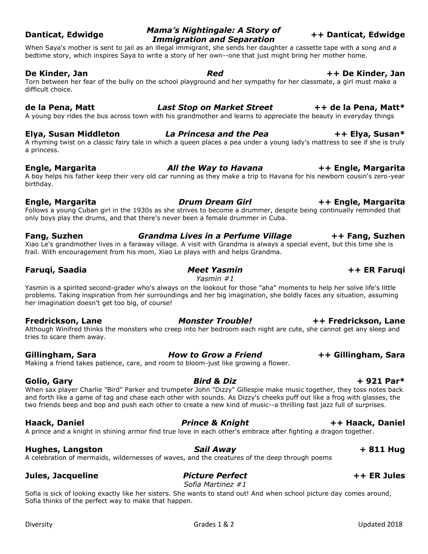## **Danticat, Edwidge** *Mama's Nightingale: A Story of Immigration and Separation* **++ Danticat, Edwidge**

When Saya's mother is sent to jail as an illegal immigrant, she sends her daughter a cassette tape with a song and a bedtime story, which inspires Saya to write a story of her own--one that just might bring her mother home.

### **De Kinder, Jan** *Red* **++ De Kinder, Jan**

Torn between her fear of the bully on the school playground and her sympathy for her classmate, a girl must make a difficult choice.

### **de la Pena, Matt** *Last Stop on Market Street* **++ de la Pena, Matt\***

A young boy rides the bus across town with his grandmother and learns to appreciate the beauty in everyday things

## **Elya, Susan Middleton** *La Princesa and the Pea* **++ Elya, Susan\***

A rhyming twist on a classic fairy tale in which a queen places a pea under a young lady's mattress to see if she is truly a princess.

## **Engle, Margarita** *All the Way to Havana* **++ Engle, Margarita**

A boy helps his father keep their very old car running as they make a trip to Havana for his newborn cousin's zero-year birthday.

## **Engle, Margarita** *Drum Dream Girl* **++ Engle, Margarita**

Follows a young Cuban girl in the 1930s as she strives to become a drummer, despite being continually reminded that only boys play the drums, and that there's never been a female drummer in Cuba.

## **Fang, Suzhen** *Grandma Lives in a Perfume Village* **++ Fang, Suzhen** Xiao Le's grandmother lives in a faraway village. A visit with Grandma is always a special event, but this time she is

frail. With encouragement from his mom, Xiao Le plays with and helps Grandma.

*Yasmin #1*

Yasmin is a spirited second-grader who's always on the lookout for those "aha" moments to help her solve life's little problems. Taking inspiration from her surroundings and her big imagination, she boldly faces any situation, assuming her imagination doesn't get too big, of course!

Although Winifred thinks the monsters who creep into her bedroom each night are cute, she cannot get any sleep and tries to scare them away.

## **Gillingham, Sara** *How to Grow a Friend* **++ Gillingham, Sara**

Making a friend takes patience, care, and room to bloom-just like growing a flower.

When sax player Charlie "Bird" Parker and trumpeter John "Dizzy" Gillespie make music together, they toss notes back and forth like a game of tag and chase each other with sounds. As Dizzy's cheeks puff out like a frog with glasses, the two friends beep and bop and push each other to create a new kind of music--a thrilling fast jazz full of surprises.

A prince and a knight in shining armor find true love in each other's embrace after fighting a dragon together.

## **Hughes, Langston** *Sail Away* **+ 811 Hug**

A celebration of mermaids, wildernesses of waves, and the creatures of the deep through poems

## **Jules, Jacqueline** *Picture Perfect* **++ ER Jules**

*Sofia Martinez #1*

Sofia is sick of looking exactly like her sisters. She wants to stand out! And when school picture day comes around, Sofia thinks of the perfect way to make that happen.

## **Faruqi, Saadia** *Meet Yasmin* **++ ER Faruqi**

## **Fredrickson, Lane** *Monster Trouble!* **++ Fredrickson, Lane**

## **Haack, Daniel** *Prince & Knight* **++ Haack, Daniel**

## **Golio, Gary** *Bird & Diz* **+ 921 Par\***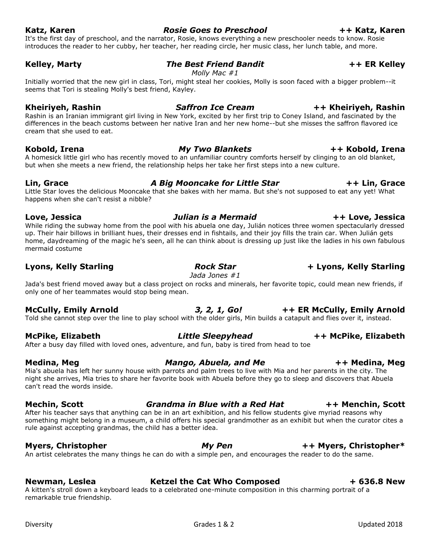**Love, Jessica** *Julian is a Mermaid* **++ Love, Jessica** While riding the subway home from the pool with his abuela one day, Julián notices three women spectacularly dressed up. Their hair billows in brilliant hues, their dresses end in fishtails, and their joy fills the train car. When Julián gets home, daydreaming of the magic he's seen, all he can think about is dressing up just like the ladies in his own fabulous

## mermaid costume

## **Lyons, Kelly Starling** *Rock Star* **+ Lyons, Kelly Starling**

Jada's best friend moved away but a class project on rocks and minerals, her favorite topic, could mean new friends, if only one of her teammates would stop being mean.

Told she cannot step over the line to play school with the older girls, Min builds a catapult and flies over it, instead.

After a busy day filled with loved ones, adventure, and fun, baby is tired from head to toe

## can't read the words inside. **Mechin, Scott** *Grandma in Blue with a Red Hat* **++ Menchin, Scott**

After his teacher says that anything can be in an art exhibition, and his fellow students give myriad reasons why something might belong in a museum, a child offers his special grandmother as an exhibit but when the curator cites a rule against accepting grandmas, the child has a better idea.

**Myers, Christopher** *My Pen* **++ Myers, Christopher\*** An artist celebrates the many things he can do with a simple pen, and encourages the reader to do the same.

**Newman, Leslea Ketzel the Cat Who Composed + 636.8 New** A kitten's stroll down a keyboard leads to a celebrated one-minute composition in this charming portrait of a remarkable true friendship.

It's the first day of preschool, and the narrator, Rosie, knows everything a new preschooler needs to know. Rosie introduces the reader to her cubby, her teacher, her reading circle, her music class, her lunch table, and more.

## **Kelley, Marty** *The Best Friend Bandit* **++ ER Kelley**

*Molly Mac #1*

Initially worried that the new girl in class, Tori, might steal her cookies, Molly is soon faced with a bigger problem--it seems that Tori is stealing Molly's best friend, Kayley.

## **Kheiriyeh, Rashin** *Saffron Ice Cream* **++ Kheiriyeh, Rashin**

Rashin is an Iranian immigrant girl living in New York, excited by her first trip to Coney Island, and fascinated by the differences in the beach customs between her native Iran and her new home--but she misses the saffron flavored ice cream that she used to eat.

## **Kobold, Irena** *My Two Blankets* **++ Kobold, Irena**

A homesick little girl who has recently moved to an unfamiliar country comforts herself by clinging to an old blanket, but when she meets a new friend, the relationship helps her take her first steps into a new culture.

## **Lin, Grace** *A Big Mooncake for Little Star* **++ Lin, Grace**

Little Star loves the delicious Mooncake that she bakes with her mama. But she's not supposed to eat any yet! What happens when she can't resist a nibble?

# *Jada Jones #1*

## **McCully, Emily Arnold** *3, 2, 1, Go!* **++ ER McCully, Emily Arnold**

## Mia's abuela has left her sunny house with parrots and palm trees to live with Mia and her parents in the city. The

## **Medina, Meg** *Mango, Abuela, and Me* **++ Medina, Meg**

## **McPike, Elizabeth** *Little Sleepyhead* **++ McPike, Elizabeth**

night she arrives, Mia tries to share her favorite book with Abuela before they go to sleep and discovers that Abuela